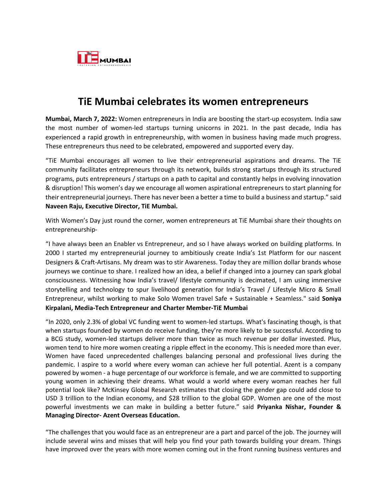

## **TiE Mumbai celebrates its women entrepreneurs**

**Mumbai, March 7, 2022:** Women entrepreneurs in India are boosting the start-up ecosystem. India saw the most number of women-led startups turning unicorns in 2021. In the past decade, India has experienced a rapid growth in entrepreneurship, with women in business having made much progress. These entrepreneurs thus need to be celebrated, empowered and supported every day.

"TiE Mumbai encourages all women to live their entrepreneurial aspirations and dreams. The TiE community facilitates entrepreneurs through its network, builds strong startups through its structured programs, puts entrepreneurs / startups on a path to capital and constantly helps in evolving innovation & disruption! This women's day we encourage all women aspirational entrepreneurs to start planning for their entrepreneurial journeys. There has never been a better a time to build a business and startup." said **Naveen Raju, Executive Director, TiE Mumbai.**

With Women's Day just round the corner, women entrepreneurs at TiE Mumbai share their thoughts on entrepreneurship-

"I have always been an Enabler vs Entrepreneur, and so I have always worked on building platforms. In 2000 I started my entrepreneurial journey to ambitiously create India's 1st Platform for our nascent Designers & Craft-Artisans. My dream was to stir Awareness. Today they are million dollar brands whose journeys we continue to share. I realized how an idea, a belief if changed into a journey can spark global consciousness. Witnessing how India's travel/ lifestyle community is decimated, I am using immersive storytelling and technology to spur livelihood generation for India's Travel / Lifestyle Micro & Small Entrepreneur, whilst working to make Solo Women travel Safe + Sustainable + Seamless." said **Soniya Kirpalani, Media-Tech Entrepreneur and Charter Member-TiE Mumbai**

"In 2020, only 2.3% of global VC funding went to women-led startups. What's fascinating though, is that when startups founded by women do receive funding, they're more likely to be successful. According to a BCG study, women-led startups deliver more than twice as much revenue per dollar invested. Plus, women tend to hire more women creating a ripple effect in the economy. This is needed more than ever. Women have faced unprecedented challenges balancing personal and professional lives during the pandemic. I aspire to a world where every woman can achieve her full potential. Azent is a company powered by women - a huge percentage of our workforce is female, and we are committed to supporting young women in achieving their dreams. What would a world where every woman reaches her full potential look like? McKinsey Global Research estimates that closing the gender gap could add close to USD 3 trillion to the Indian economy, and \$28 trillion to the global GDP. Women are one of the most powerful investments we can make in building a better future." said **Priyanka Nishar, Founder & Managing Director- Azent Overseas Education.**

"The challenges that you would face as an entrepreneur are a part and parcel of the job. The journey will include several wins and misses that will help you find your path towards building your dream. Things have improved over the years with more women coming out in the front running business ventures and